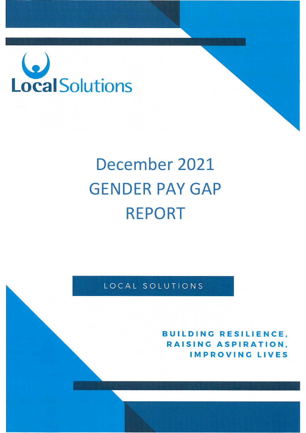

# December 2021 GENDER PAY GAP REPORT

LOCAL SOLUTIONS

**BUILDING RESILIENCE.** RAISING ASPIRATION. **IMPROVING LIVES**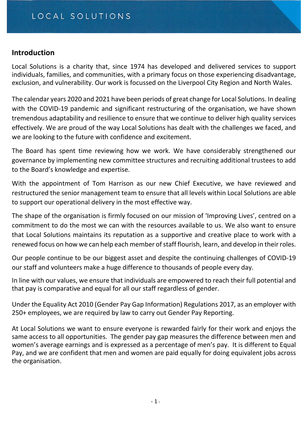## **Introduction**

Local Solutions is a charity that, since 1974 has developed and delivered services to support individuals, families, and communities, with a primary focus on those experiencing disadvantage, exclusion, and vulnerability. Our work is focussed on the Liverpool City Region and North Wales.

The calendar years 2020 and 2021 have been periods of great change for Local Solutions. In dealing with the COVID-19 pandemic and significant restructuring of the organisation, we have shown tremendous adaptability and resilience to ensure that we continue to deliver high quality services effectively. We are proud of the way Local Solutions has dealt with the challenges we faced, and we are looking to the future with confidence and excitement.

The Board has spent time reviewing how we work. We have considerably strengthened our governance by implementing new committee structures and recruiting additional trustees to add to the Board's knowledge and expertise.

With the appointment of Tom Harrison as our new Chief Executive, we have reviewed and restructured the senior management team to ensure that all levels within Local Solutions are able to support our operational delivery in the most effective way.

The shape of the organisation is firmly focused on our mission of 'Improving Lives', centred on a commitment to do the most we can with the resources available to us. We also want to ensure that Local Solutions maintains its reputation as a supportive and creative place to work with a renewed focus on how we can help each member of staff flourish, learn, and develop in their roles.

Our people continue to be our biggest asset and despite the continuing challenges of COVID-19 our staff and volunteers make a huge difference to thousands of people every day.

In line with our values, we ensure that individuals are empowered to reach their full potential and that pay is comparative and equal for all our staff regardless of gender.

Under the Equality Act 2010 (Gender Pay Gap Information) Regulations 2017, as an employer with 250+ employees, we are required by law to carry out Gender Pay Reporting.

At Local Solutions we want to ensure everyone is rewarded fairly for their work and enjoys the same access to all opportunities. The gender pay gap measures the difference between men and women's average earnings and is expressed as a percentage of men's pay. It is different to Equal Pay, and we are confident that men and women are paid equally for doing equivalent jobs across the organisation.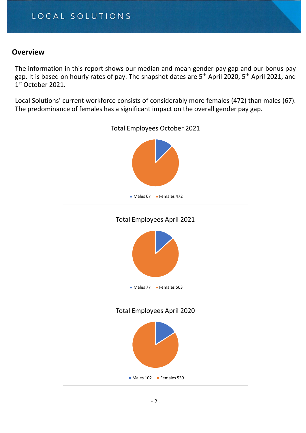## **Overview**

The information in this report shows our median and mean gender pay gap and our bonus pay gap. It is based on hourly rates of pay. The snapshot dates are 5<sup>th</sup> April 2020, 5<sup>th</sup> April 2021, and 1st October 2021.

Local Solutions' current workforce consists of considerably more females (472) than males (67). The predominance of females has a significant impact on the overall gender pay gap.

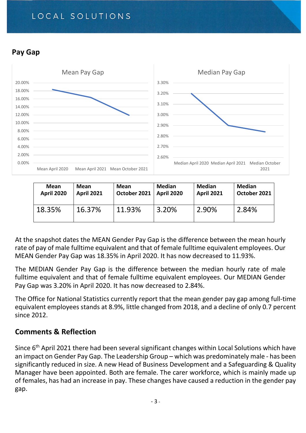# LOCAL SOLUTIONS

## **Pay Gap**



| Mean              | Mean              | Mean                      | Median | <b>Median</b>     | <b>Median</b> |
|-------------------|-------------------|---------------------------|--------|-------------------|---------------|
| <b>April 2020</b> | <b>April 2021</b> | October 2021   April 2020 |        | <b>April 2021</b> | October 2021  |
| 18.35%            | 16.37%            | 11.93%                    | 3.20%  | 2.90%             | 2.84%         |

At the snapshot dates the MEAN Gender Pay Gap is the difference between the mean hourly rate of pay of male fulltime equivalent and that of female fulltime equivalent employees. Our MEAN Gender Pay Gap was 18.35% in April 2020. It has now decreased to 11.93%.

The MEDIAN Gender Pay Gap is the difference between the median hourly rate of male fulltime equivalent and that of female fulltime equivalent employees. Our MEDIAN Gender Pay Gap was 3.20% in April 2020. It has now decreased to 2.84%.

The Office for National Statistics currently report that the mean gender pay gap among full-time equivalent employees stands at 8.9%, little changed from 2018, and a decline of only 0.7 percent since 2012.

## **Comments & Reflection**

Since 6<sup>th</sup> April 2021 there had been several significant changes within Local Solutions which have an impact on Gender Pay Gap. The Leadership Group – which was predominately male - has been significantly reduced in size. A new Head of Business Development and a Safeguarding & Quality Manager have been appointed. Both are female. The carer workforce, which is mainly made up of females, has had an increase in pay. These changes have caused a reduction in the gender pay gap.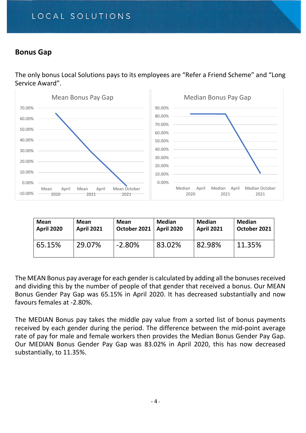# LOCAL SOLUTIONS

## **Bonus Gap**

The only bonus Local Solutions pays to its employees are "Refer a Friend Scheme" and "Long Service Award".



| Mean              | Mean              | Mean         | <b>Median</b>     | <b>Median</b>     | <b>Median</b> |
|-------------------|-------------------|--------------|-------------------|-------------------|---------------|
| <b>April 2020</b> | <b>April 2021</b> | October 2021 | <b>April 2020</b> | <b>April 2021</b> | October 2021  |
| 65.15%            | 29.07%            | $-2.80\%$    | 83.02%            | 82.98%            | 11.35%        |

The MEAN Bonus pay average for each gender is calculated by adding all the bonuses received and dividing this by the number of people of that gender that received a bonus. Our MEAN Bonus Gender Pay Gap was 65.15% in April 2020. It has decreased substantially and now favours females at -2.80%.

The MEDIAN Bonus pay takes the middle pay value from a sorted list of bonus payments received by each gender during the period. The difference between the mid-point average rate of pay for male and female workers then provides the Median Bonus Gender Pay Gap. Our MEDIAN Bonus Gender Pay Gap was 83.02% in April 2020, this has now decreased substantially, to 11.35%.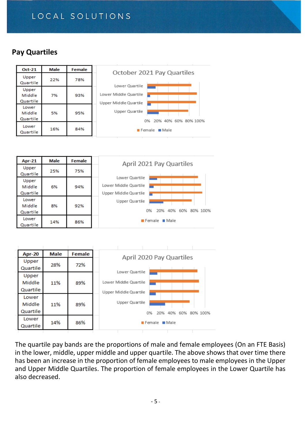# LOCAL SOLUTIONS

## **Pay Quartiles**

| <b>Oct-21</b>               | Male | Female | October 2021 Pay Quartiles                     |
|-----------------------------|------|--------|------------------------------------------------|
| Upper<br>Quartile           | 22%  | 78%    | Lower Quartile                                 |
| Upper<br>Middle<br>Quartile | 7%   | 93%    | Lower Middle Quartile<br>Upper Middle Quartile |
| Lower<br>Middle<br>Quartile | 5%   | 95%    | Upper Quartile<br>0% 20% 40% 60% 80% 100%      |
| Lower<br>Quartile           | 16%  | 84%    | $\blacksquare$ Female $\blacksquare$ Male      |

| <b>Apr-21</b>               | Male | Female | April 2021 Pay Quartiles                                         |
|-----------------------------|------|--------|------------------------------------------------------------------|
| Upper<br>Quartile           | 25%  | 75%    |                                                                  |
| Upper<br>Middle<br>Quartile | 6%   | 94%    | Lower Quartile<br>Lower Middle Quartile<br>Upper Middle Quartile |
| Lower<br>Middle<br>Quartile | 8%   | 92%    | Upper Quartile<br>20% 40% 60%<br>80% 100%<br>0%                  |
| Lower<br>Quartile           | 14%  | 86%    | $\blacksquare$ Female $\blacksquare$ Male                        |

| <b>Apr-20</b>               | <b>Male</b> | Female | April 2020 Pay Quartiles                                         |  |  |
|-----------------------------|-------------|--------|------------------------------------------------------------------|--|--|
| Upper<br>Quartile           | 28%         | 72%    |                                                                  |  |  |
| Upper<br>Middle<br>Quartile | 11%         | 89%    | Lower Quartile<br>Lower Middle Quartile<br>Upper Middle Quartile |  |  |
| Lower<br>Middle<br>Quartile | 11%         | 89%    | Upper Quartile<br>0%<br>20%<br>40% 60% 80% 100%                  |  |  |
| Lower<br>Quartile           | 14%         | 86%    | $\blacksquare$ Female $\blacksquare$ Male                        |  |  |

The quartile pay bands are the proportions of male and female employees (On an FTE Basis) in the lower, middle, upper middle and upper quartile. The above shows that over time there has been an increase in the proportion of female employees to male employees in the Upper and Upper Middle Quartiles. The proportion of female employees in the Lower Quartile has also decreased.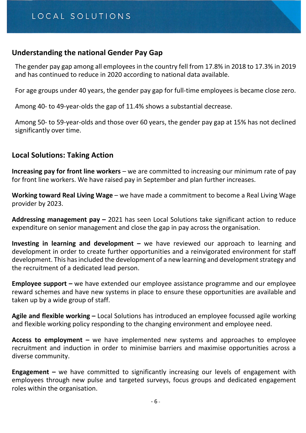### **Understanding the national Gender Pay Gap**

The gender pay gap among all employees in the country fell from 17.8% in 2018 to 17.3% in 2019 and has continued to reduce in 2020 according to national data available.

For age groups under 40 years, the gender pay gap for full-time employees is became close zero.

Among 40- to 49-year-olds the gap of 11.4% shows a substantial decrease.

Among 50- to 59-year-olds and those over 60 years, the gender pay gap at 15% has not declined significantly over time.

## **Local Solutions: Taking Action**

**Increasing pay for front line workers** – we are committed to increasing our minimum rate of pay for front line workers. We have raised pay in September and plan further increases.

**Working toward Real Living Wage** – we have made a commitment to become a Real Living Wage provider by 2023.

**Addressing management pay –** 2021 has seen Local Solutions take significant action to reduce expenditure on senior management and close the gap in pay across the organisation.

**Investing in learning and development –** we have reviewed our approach to learning and development in order to create further opportunities and a reinvigorated environment for staff development. This has included the development of a new learning and development strategy and the recruitment of a dedicated lead person.

**Employee support –** we have extended our employee assistance programme and our employee reward schemes and have new systems in place to ensure these opportunities are available and taken up by a wide group of staff.

**Agile and flexible working –** Local Solutions has introduced an employee focussed agile working and flexible working policy responding to the changing environment and employee need.

**Access to employment –** we have implemented new systems and approaches to employee recruitment and induction in order to minimise barriers and maximise opportunities across a diverse community.

**Engagement –** we have committed to significantly increasing our levels of engagement with employees through new pulse and targeted surveys, focus groups and dedicated engagement roles within the organisation.